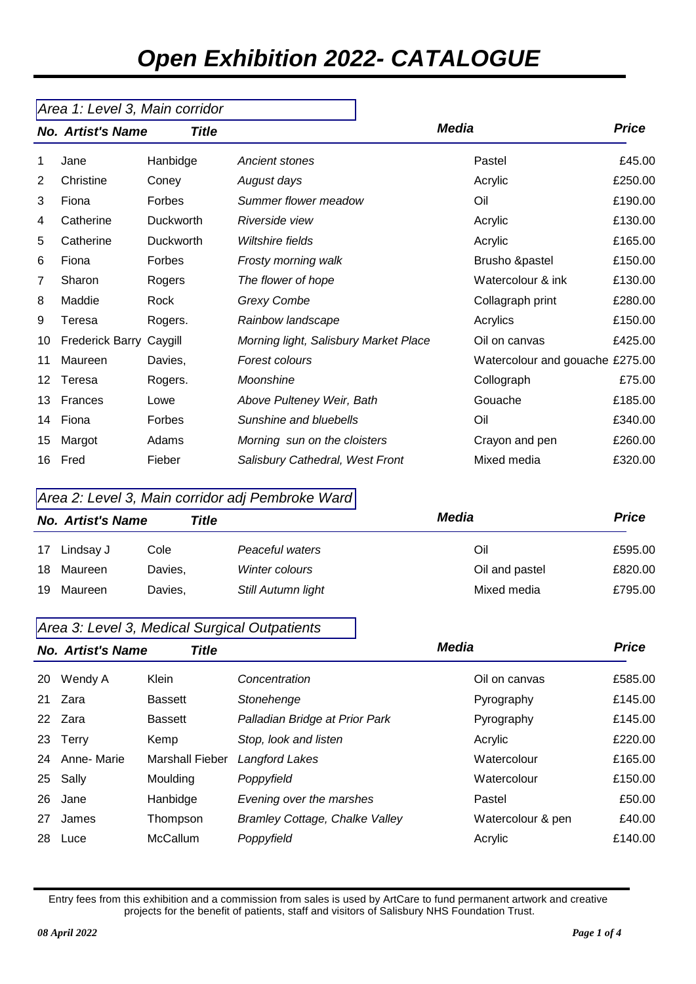# *Open Exhibition 2022- CATALOGUE*

|    | Area 1: Level 3, Main corridor |                  |                                       |              |                                 |              |
|----|--------------------------------|------------------|---------------------------------------|--------------|---------------------------------|--------------|
|    | <b>No. Artist's Name</b>       | <b>Title</b>     |                                       | <b>Media</b> |                                 | <b>Price</b> |
| 1  | Jane                           | Hanbidge         | Ancient stones                        |              | Pastel                          | £45.00       |
| 2  | Christine                      | Coney            | August days                           |              | Acrylic                         | £250.00      |
| 3  | Fiona                          | Forbes           | Summer flower meadow                  |              | Oil                             | £190.00      |
| 4  | Catherine                      | Duckworth        | Riverside view                        |              | Acrylic                         | £130.00      |
| 5  | Catherine                      | <b>Duckworth</b> | Wiltshire fields                      |              | Acrylic                         | £165.00      |
| 6  | Fiona                          | Forbes           | Frosty morning walk                   |              | <b>Brusho &amp;pastel</b>       | £150.00      |
| 7  | Sharon                         | Rogers           | The flower of hope                    |              | Watercolour & ink               | £130.00      |
| 8  | Maddie                         | Rock             | <b>Grexy Combe</b>                    |              | Collagraph print                | £280.00      |
| 9  | Teresa                         | Rogers.          | Rainbow landscape                     |              | Acrylics                        | £150.00      |
| 10 | <b>Frederick Barry</b>         | Caygill          | Morning light, Salisbury Market Place |              | Oil on canvas                   | £425.00      |
| 11 | Maureen                        | Davies,          | Forest colours                        |              | Watercolour and gouache £275.00 |              |
| 12 | Teresa                         | Rogers.          | Moonshine                             |              | Collograph                      | £75.00       |
| 13 | <b>Frances</b>                 | Lowe             | Above Pulteney Weir, Bath             |              | Gouache                         | £185.00      |
| 14 | Fiona                          | Forbes           | Sunshine and bluebells                |              | Oil                             | £340.00      |
| 15 | Margot                         | Adams            | Morning sun on the cloisters          |              | Crayon and pen                  | £260.00      |
| 16 | Fred                           | Fieber           | Salisbury Cathedral, West Front       |              | Mixed media                     | £320.00      |

#### *Area 2: Level 3, Main corridor adj Pembroke Ward*

| <b>No. Artist's Name</b><br>Title |            |         |                    | Media          | <b>Price</b> |
|-----------------------------------|------------|---------|--------------------|----------------|--------------|
| 17                                | Lindsay J  | Cole    | Peaceful waters    | Oil            | £595.00      |
|                                   | 18 Maureen | Davies, | Winter colours     | Oil and pastel | £820.00      |
| 19                                | Maureen    | Davies, | Still Autumn light | Mixed media    | £795.00      |

## *Area 3: Level 3, Medical Surgical Outpatients*

|    | <b>No. Artist's Name</b> | <b>Title</b>           |                                       | <b>Media</b>      | <b>Price</b> |
|----|--------------------------|------------------------|---------------------------------------|-------------------|--------------|
| 20 | Wendy A                  | Klein                  | Concentration                         | Oil on canvas     | £585.00      |
| 21 | Zara                     | <b>Bassett</b>         | Stonehenge                            | Pyrography        | £145.00      |
| 22 | Zara                     | <b>Bassett</b>         | Palladian Bridge at Prior Park        | Pyrography        | £145.00      |
| 23 | Terry                    | Kemp                   | Stop, look and listen                 | Acrylic           | £220.00      |
| 24 | Anne-Marie               | <b>Marshall Fieber</b> | Langford Lakes                        | Watercolour       | £165.00      |
| 25 | Sally                    | Moulding               | Poppyfield                            | Watercolour       | £150.00      |
| 26 | Jane                     | Hanbidge               | Evening over the marshes              | Pastel            | £50.00       |
| 27 | James                    | Thompson               | <b>Bramley Cottage, Chalke Valley</b> | Watercolour & pen | £40.00       |
| 28 | Luce                     | McCallum               | Poppyfield                            | Acrylic           | £140.00      |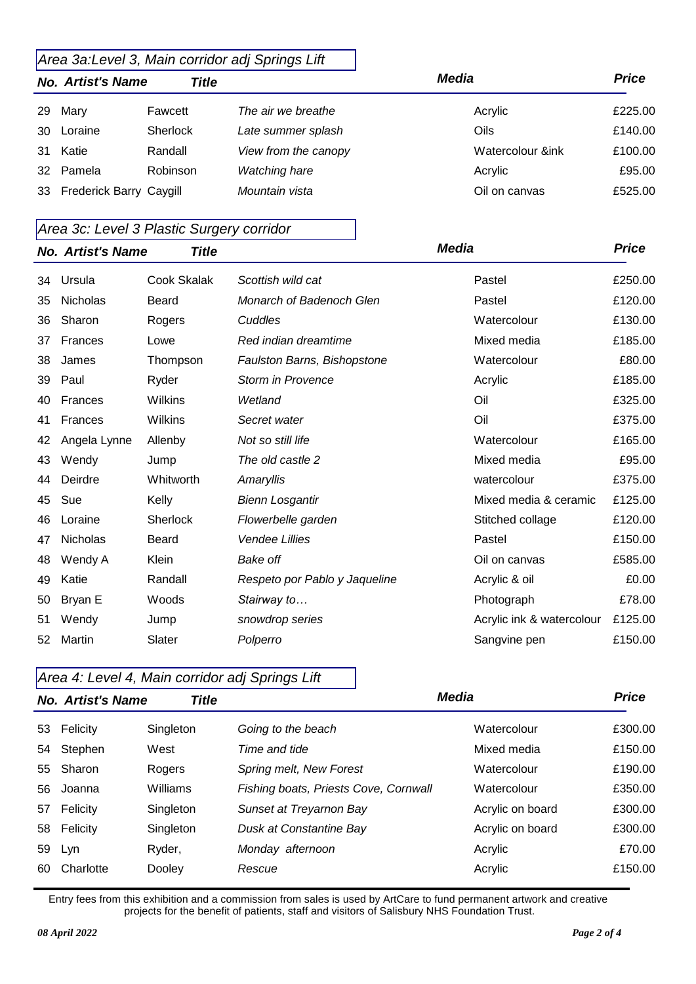#### *Area 3a:Level 3, Main corridor adj Springs Lift*

|    | <b>No. Artist's Name</b>   | Title           |                      | <b>Media</b>     | <b>Price</b> |
|----|----------------------------|-----------------|----------------------|------------------|--------------|
| 29 | Mary                       | Fawcett         | The air we breathe   | Acrylic          | £225.00      |
| 30 | Loraine                    | <b>Sherlock</b> | Late summer splash   | Oils             | £140.00      |
| 31 | Katie                      | Randall         | View from the canopy | Watercolour &ink | £100.00      |
|    | 32 Pamela                  | Robinson        | <b>Watching hare</b> | Acrylic          | £95.00       |
|    | 33 Frederick Barry Caygill |                 | Mountain vista       | Oil on canvas    | £525.00      |

## *Area 3c: Level 3 Plastic Surgery corridor*

|    | <b>No. Artist's Name</b> | Title           |                               | <b>Media</b>              | <b>Price</b> |
|----|--------------------------|-----------------|-------------------------------|---------------------------|--------------|
| 34 | Ursula                   | Cook Skalak     | Scottish wild cat             | Pastel                    | £250.00      |
| 35 | Nicholas                 | Beard           | Monarch of Badenoch Glen      | Pastel                    | £120.00      |
| 36 | Sharon                   | Rogers          | Cuddles                       | Watercolour               | £130.00      |
| 37 | Frances                  | Lowe            | Red indian dreamtime          | Mixed media               | £185.00      |
| 38 | James                    | Thompson        | Faulston Barns, Bishopstone   | Watercolour               | £80.00       |
| 39 | Paul                     | Ryder           | Storm in Provence             | Acrylic                   | £185.00      |
| 40 | Frances                  | Wilkins         | Wetland                       | Oil                       | £325.00      |
| 41 | Frances                  | Wilkins         | Secret water                  | Oil                       | £375.00      |
| 42 | Angela Lynne             | Allenby         | Not so still life             | Watercolour               | £165.00      |
| 43 | Wendy                    | Jump            | The old castle 2              | Mixed media               | £95.00       |
| 44 | Deirdre                  | Whitworth       | Amaryllis                     | watercolour               | £375.00      |
| 45 | Sue                      | Kelly           | <b>Bienn Losgantir</b>        | Mixed media & ceramic     | £125.00      |
| 46 | Loraine                  | <b>Sherlock</b> | Flowerbelle garden            | Stitched collage          | £120.00      |
| 47 | <b>Nicholas</b>          | Beard           | <b>Vendee Lillies</b>         | Pastel                    | £150.00      |
| 48 | Wendy A                  | Klein           | <b>Bake off</b>               | Oil on canvas             | £585.00      |
| 49 | Katie                    | Randall         | Respeto por Pablo y Jaqueline | Acrylic & oil             | £0.00        |
| 50 | Bryan E                  | Woods           | Stairway to                   | Photograph                | £78.00       |
| 51 | Wendy                    | Jump            | snowdrop series               | Acrylic ink & watercolour | £125.00      |
| 52 | Martin                   | Slater          | Polperro                      | Sangvine pen              | £150.00      |

### *Area 4: Level 4, Main corridor adj Springs Lift*

| <b>Title</b><br><b>No. Artist's Name</b> |           |                                       | <b>Media</b>     |         |
|------------------------------------------|-----------|---------------------------------------|------------------|---------|
| 53 Felicity                              | Singleton | Going to the beach                    | Watercolour      | £300.00 |
| 54 Stephen                               | West      | Time and tide                         | Mixed media      | £150.00 |
| 55 Sharon                                | Rogers    | Spring melt, New Forest               | Watercolour      | £190.00 |
| 56 Joanna                                | Williams  | Fishing boats, Priests Cove, Cornwall | Watercolour      | £350.00 |
| 57 Felicity                              | Singleton | Sunset at Treyarnon Bay               | Acrylic on board | £300.00 |
| 58 Felicity                              | Singleton | Dusk at Constantine Bay               | Acrylic on board | £300.00 |
| 59 Lyn                                   | Ryder,    | Monday afternoon                      | Acrylic          | £70.00  |
| 60 Charlotte                             | Dooley    | Rescue                                | Acrylic          | £150.00 |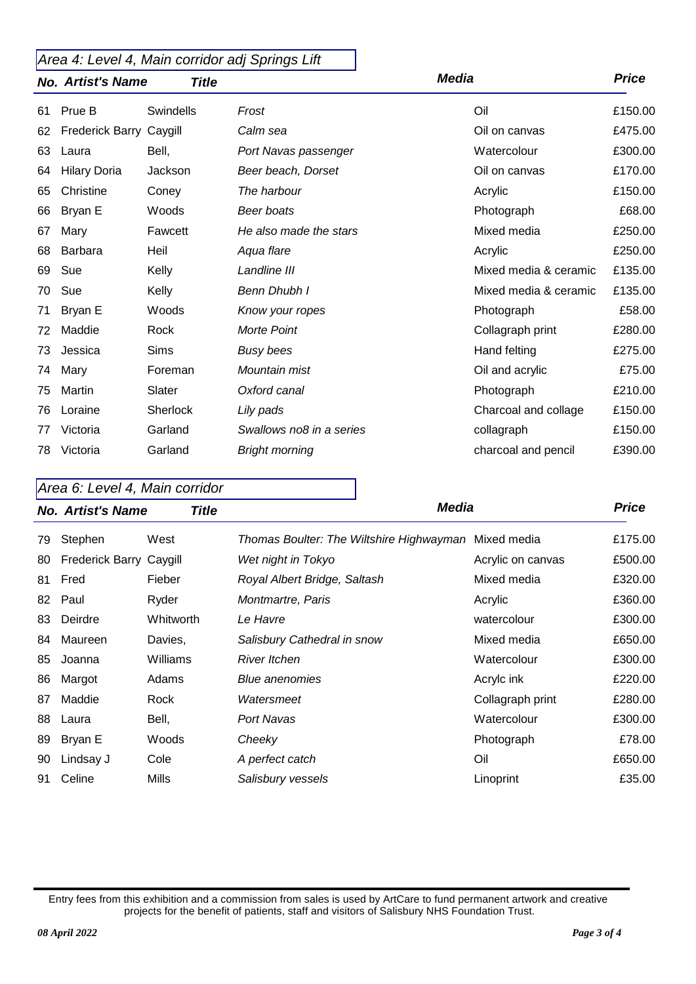*Area 4: Level 4, Main corridor adj Springs Lift*

|    | <b>No. Artist's Name</b> | Title           |                          | <b>Media</b>          | <b>Price</b> |
|----|--------------------------|-----------------|--------------------------|-----------------------|--------------|
| 61 | Prue B                   | Swindells       | Frost                    | Oil                   | £150.00      |
| 62 | Frederick Barry Caygill  |                 | Calm sea                 | Oil on canvas         | £475.00      |
| 63 | Laura                    | Bell,           | Port Navas passenger     | Watercolour           | £300.00      |
| 64 | <b>Hilary Doria</b>      | Jackson         | Beer beach, Dorset       | Oil on canvas         | £170.00      |
| 65 | Christine                | Coney           | The harbour              | Acrylic               | £150.00      |
| 66 | Bryan E                  | Woods           | Beer boats               | Photograph            | £68.00       |
| 67 | Mary                     | Fawcett         | He also made the stars   | Mixed media           | £250.00      |
| 68 | Barbara                  | Heil            | Aqua flare               | Acrylic               | £250.00      |
| 69 | Sue                      | Kelly           | Landline III             | Mixed media & ceramic | £135.00      |
| 70 | Sue                      | Kelly           | Benn Dhubh I             | Mixed media & ceramic | £135.00      |
| 71 | Bryan E                  | Woods           | Know your ropes          | Photograph            | £58.00       |
| 72 | Maddie                   | Rock            | Morte Point              | Collagraph print      | £280.00      |
| 73 | Jessica                  | Sims            | <b>Busy bees</b>         | Hand felting          | £275.00      |
| 74 | Mary                     | Foreman         | Mountain mist            | Oil and acrylic       | £75.00       |
| 75 | Martin                   | Slater          | Oxford canal             | Photograph            | £210.00      |
| 76 | Loraine                  | <b>Sherlock</b> | Lily pads                | Charcoal and collage  | £150.00      |
| 77 | Victoria                 | Garland         | Swallows no8 in a series | collagraph            | £150.00      |
| 78 | Victoria                 | Garland         | <b>Bright morning</b>    | charcoal and pencil   | £390.00      |

*Area 6: Level 4, Main corridor*

|    | $\mu$ $\mu$ ou of $\mu$ over $\mu$ , <i>fright</i> overlays |           |                                          |                   |              |
|----|-------------------------------------------------------------|-----------|------------------------------------------|-------------------|--------------|
|    | <b>No. Artist's Name</b><br><b>Title</b>                    |           | Media                                    |                   | <b>Price</b> |
| 79 | Stephen                                                     | West      | Thomas Boulter: The Wiltshire Highwayman | Mixed media       | £175.00      |
| 80 | Frederick Barry Caygill                                     |           | Wet night in Tokyo                       | Acrylic on canvas | £500.00      |
| 81 | Fred                                                        | Fieber    | Royal Albert Bridge, Saltash             | Mixed media       | £320.00      |
| 82 | Paul                                                        | Ryder     | Montmartre, Paris                        | Acrylic           | £360.00      |
| 83 | Deirdre                                                     | Whitworth | Le Havre                                 | watercolour       | £300.00      |
| 84 | Maureen                                                     | Davies,   | Salisbury Cathedral in snow              | Mixed media       | £650.00      |
| 85 | Joanna                                                      | Williams  | River Itchen                             | Watercolour       | £300.00      |
| 86 | Margot                                                      | Adams     | <b>Blue anenomies</b>                    | Acrylc ink        | £220.00      |
| 87 | Maddie                                                      | Rock      | Watersmeet                               | Collagraph print  | £280.00      |
| 88 | Laura                                                       | Bell,     | Port Navas                               | Watercolour       | £300.00      |
| 89 | Bryan E                                                     | Woods     | Cheeky                                   | Photograph        | £78.00       |
| 90 | Lindsay J                                                   | Cole      | A perfect catch                          | Oil               | £650.00      |
| 91 | Celine                                                      | Mills     | Salisbury vessels                        | Linoprint         | £35.00       |